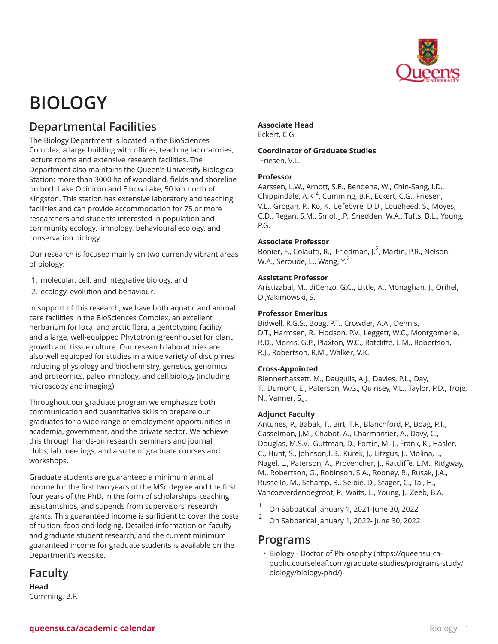

# **BIOLOGY**

# **Departmental Facilities**

The Biology Department is located in the BioSciences Complex, a large building with offices, teaching laboratories, lecture rooms and extensive research facilities. The Department also maintains the Queen's University Biological Station: more than 3000 ha of woodland, fields and shoreline on both Lake Opinicon and Elbow Lake, 50 km north of Kingston. This station has extensive laboratory and teaching facilities and can provide accommodation for 75 or more researchers and students interested in population and community ecology, limnology, behavioural ecology, and conservation biology.

Our research is focused mainly on two currently vibrant areas of biology:

- 1. molecular, cell, and integrative biology, and
- 2. ecology, evolution and behaviour.

In support of this research, we have both aquatic and animal care facilities in the BioSciences Complex, an excellent herbarium for local and arctic flora, a gentotyping facility, and a large, well-equipped Phytotron (greenhouse) for plant growth and tissue culture. Our research laboratories are also well equipped for studies in a wide variety of disciplines including physiology and biochemistry, genetics, genomics and proteomics, paleolimnology, and cell biology (including microscopy and imaging).

Throughout our graduate program we emphasize both communication and quantitative skills to prepare our graduates for a wide range of employment opportunities in academia, government, and the private sector. We achieve this through hands-on research, seminars and journal clubs, lab meetings, and a suite of graduate courses and workshops.

Graduate students are guaranteed a minimum annual income for the first two years of the MSc degree and the first four years of the PhD, in the form of scholarships, teaching assistantships, and stipends from supervisors' research grants. This guaranteed income is sufficient to cover the costs of tuition, food and lodging. Detailed information on faculty and graduate student research, and the current minimum guaranteed income for graduate students is available on the Department's website.

## **Faculty**

**Head** Cumming, B.F.

#### **Associate Head** Eckert, C.G.

**Coordinator of Graduate Studies**

Friesen, V.L.

#### **Professor**

Aarssen, L.W., Arnott, S.E., Bendena, W., Chin-Sang, I.D., Chippindale, A.K<sup>2</sup>, Cumming, B.F., Eckert, C.G., Friesen, V.L., Grogan, P., Ko, K., Lefebvre, D.D., Lougheed, S., Moyes, C.D., Regan, S.M., Smol, J.P., Snedden, W.A., Tufts, B.L., Young, P.G.

#### **Associate Professor**

Bonier, F., Colautti, R., Friedman, J.<sup>2</sup>, Martin, P.R., Nelson, W.A., Seroude, L., Wang, Y.<sup>2</sup>

#### **Assistant Professor**

Aristizabal, M., diCenzo, G.C., Little, A., Monaghan, J., Orihel, D.,Yakimowski, S.

#### **Professor Emeritus**

Bidwell, R.G.S., Boag, P.T., Crowder, A.A., Dennis, D.T., Harmsen, R., Hodson, P.V., Leggett, W.C., Montgomerie, R.D., Morris, G.P., Plaxton, W.C., Ratcliffe, L.M., Robertson, R.J., Robertson, R.M., Walker, V.K.

#### **Cross-Appointed**

Blennerhassett, M., Daugulis, A.J., Davies, P.L., Day, T., Dumont, E., Paterson, W.G., Quinsey, V.L., Taylor, P.D., Troje, N., Vanner, S.J.

#### **Adjunct Faculty**

Antunes, P., Babak, T., Birt, T.P., Blanchford, P., Boag, P.T., Casselman, J.M., Chabot, A., Charmantier, A., Davy, C., Douglas, M.S.V., Guttman, D., Fortin, M.-J., Frank, K., Hasler, C., Hunt, S., Johnson,T.B., Kurek, J., Litzgus, J., Molina, I., Nagel, L., Paterson, A., Provencher, J., Ratcliffe, L.M., Ridgway, M., Robertson, G., Robinson, S.A., Rooney, R., Rusak, J.A., Russello, M., Schamp, B., Selbie, D., Stager, C., Tai, H., Vancoeverdendegroot, P., Waits, L., Young, J., Zeeb, B.A.

1 On Sabbatical January 1, 2021-June 30, 2022

2 On Sabbatical January 1, 2022- June 30, 2022

## **Programs**

• [Biology - Doctor of Philosophy](https://queensu-ca-public.courseleaf.com/graduate-studies/programs-study/biology/biology-phd/) [\(https://queensu-ca](https://queensu-ca-public.courseleaf.com/graduate-studies/programs-study/biology/biology-phd/)[public.courseleaf.com/graduate-studies/programs-study/](https://queensu-ca-public.courseleaf.com/graduate-studies/programs-study/biology/biology-phd/) [biology/biology-phd/](https://queensu-ca-public.courseleaf.com/graduate-studies/programs-study/biology/biology-phd/))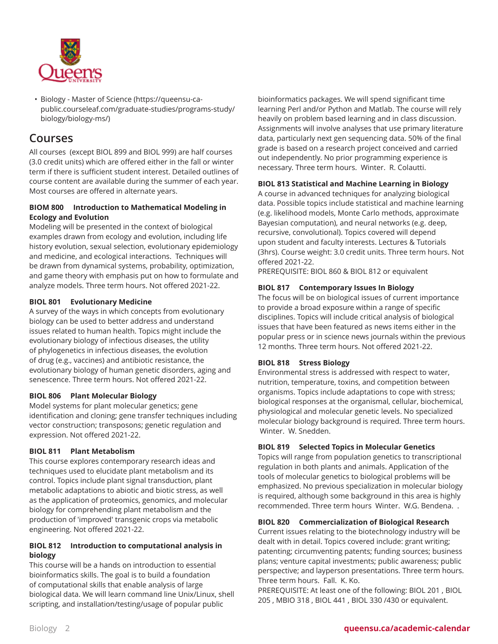

• [Biology - Master of Science](https://queensu-ca-public.courseleaf.com/graduate-studies/programs-study/biology/biology-ms/) [\(https://queensu-ca](https://queensu-ca-public.courseleaf.com/graduate-studies/programs-study/biology/biology-ms/)[public.courseleaf.com/graduate-studies/programs-study/](https://queensu-ca-public.courseleaf.com/graduate-studies/programs-study/biology/biology-ms/) [biology/biology-ms/\)](https://queensu-ca-public.courseleaf.com/graduate-studies/programs-study/biology/biology-ms/)

## **Courses**

All courses (except BIOL 899 and BIOL 999) are half courses (3.0 credit units) which are offered either in the fall or winter term if there is sufficient student interest. Detailed outlines of course content are available during the summer of each year. Most courses are offered in alternate years.

#### **BIOM 800 Introduction to Mathematical Modeling in Ecology and Evolution**

Modeling will be presented in the context of biological examples drawn from ecology and evolution, including life history evolution, sexual selection, evolutionary epidemiology and medicine, and ecological interactions. Techniques will be drawn from dynamical systems, probability, optimization, and game theory with emphasis put on how to formulate and analyze models. Three term hours. Not offered 2021-22.

#### **BIOL 801 Evolutionary Medicine**

A survey of the ways in which concepts from evolutionary biology can be used to better address and understand issues related to human health. Topics might include the evolutionary biology of infectious diseases, the utility of phylogenetics in infectious diseases, the evolution of drug (e.g., vaccines) and antibiotic resistance, the evolutionary biology of human genetic disorders, aging and senescence. Three term hours. Not offered 2021-22.

#### **BIOL 806 Plant Molecular Biology**

Model systems for plant molecular genetics; gene identification and cloning; gene transfer techniques including vector construction; transposons; genetic regulation and expression. Not offered 2021-22.

### **BIOL 811 Plant Metabolism**

This course explores contemporary research ideas and techniques used to elucidate plant metabolism and its control. Topics include plant signal transduction, plant metabolic adaptations to abiotic and biotic stress, as well as the application of proteomics, genomics, and molecular biology for comprehending plant metabolism and the production of 'improved' transgenic crops via metabolic engineering. Not offered 2021-22.

#### **BIOL 812 Introduction to computational analysis in biology**

This course will be a hands on introduction to essential bioinformatics skills. The goal is to build a foundation of computational skills that enable analysis of large biological data. We will learn command line Unix/Linux, shell scripting, and installation/testing/usage of popular public

bioinformatics packages. We will spend significant time learning Perl and/or Python and Matlab. The course will rely heavily on problem based learning and in class discussion. Assignments will involve analyses that use primary literature data, particularly next gen sequencing data. 50% of the final grade is based on a research project conceived and carried out independently. No prior programming experience is necessary. Three term hours. Winter. R. Colautti.

#### **BIOL 813 Statistical and Machine Learning in Biology**

A course in advanced techniques for analyzing biological data. Possible topics include statistical and machine learning (e.g. likelihood models, Monte Carlo methods, approximate Bayesian computation), and neural networks (e.g. deep, recursive, convolutional). Topics covered will depend upon student and faculty interests. Lectures & Tutorials (3hrs). Course weight: 3.0 credit units. Three term hours. Not offered 2021-22.

PREREQUISITE: BIOL 860 & BIOL 812 or equivalent

#### **BIOL 817 Contemporary Issues In Biology**

The focus will be on biological issues of current importance to provide a broad exposure within a range of specific disciplines. Topics will include critical analysis of biological issues that have been featured as news items either in the popular press or in science news journals within the previous 12 months. Three term hours. Not offered 2021-22.

#### **BIOL 818 Stress Biology**

Environmental stress is addressed with respect to water, nutrition, temperature, toxins, and competition between organisms. Topics include adaptations to cope with stress; biological responses at the organismal, cellular, biochemical, physiological and molecular genetic levels. No specialized molecular biology background is required. Three term hours. Winter. W. Snedden.

#### **BIOL 819 Selected Topics in Molecular Genetics**

Topics will range from population genetics to transcriptional regulation in both plants and animals. Application of the tools of molecular genetics to biological problems will be emphasized. No previous specialization in molecular biology is required, although some background in this area is highly recommended. Three term hours Winter. W.G. Bendena. .

#### **BIOL 820 Commercialization of Biological Research**

Current issues relating to the biotechnology industry will be dealt with in detail. Topics covered include: grant writing; patenting; circumventing patents; funding sources; business plans; venture capital investments; public awareness; public perspective; and layperson presentations. Three term hours. Three term hours. Fall. K. Ko.

PREREQUISITE: At least one of the following: BIOL 201 , BIOL 205 , MBIO 318 , BIOL 441 , BIOL 330 /430 or equivalent.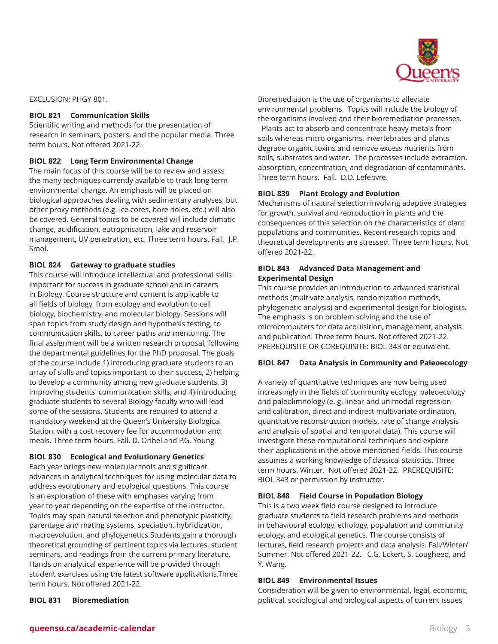

EXCLUSION: PHGY 801.

#### **BIOL 821 Communication Skills**

Scientific writing and methods for the presentation of research in seminars, posters, and the popular media. Three term hours. Not offered 2021-22.

#### **BIOL 822 Long Term Environmental Change**

The main focus of this course will be to review and assess the many techniques currently available to track long term environmental change. An emphasis will be placed on biological approaches dealing with sedimentary analyses, but other proxy methods (e.g. ice cores, bore holes, etc.) will also be covered. General topics to be covered will include climatic change, acidification, eutrophication, lake and reservoir management, UV penetration, etc. Three term hours. Fall. J.P. Smol.

#### **BIOL 824 Gateway to graduate studies**

This course will introduce intellectual and professional skills important for success in graduate school and in careers in Biology. Course structure and content is applicable to all fields of biology, from ecology and evolution to cell biology, biochemistry, and molecular biology. Sessions will span topics from study design and hypothesis testing, to communication skills, to career paths and mentoring. The final assignment will be a written research proposal, following the departmental guidelines for the PhD proposal. The goals of the course include 1) introducing graduate students to an array of skills and topics important to their success, 2) helping to develop a community among new graduate students, 3) improving students' communication skills, and 4) introducing graduate students to several Biology faculty who will lead some of the sessions. Students are required to attend a mandatory weekend at the Queen's University Biological Station, with a cost recovery fee for accommodation and meals. Three term hours. Fall. D. Orihel and P.G. Young

#### **BIOL 830 Ecological and Evolutionary Genetics**

Each year brings new molecular tools and significant advances in analytical techniques for using molecular data to address evolutionary and ecological questions. This course is an exploration of these with emphases varying from year to year depending on the expertise of the instructor. Topics may span natural selection and phenotypic plasticity, parentage and mating systems, speciation, hybridization, macroevolution, and phylogenetics.Students gain a thorough theoretical grounding of pertinent topics via lectures, student seminars, and readings from the current primary literature. Hands on analytical experience will be provided through student exercises using the latest software applications.Three term hours. Not offered 2021-22.

**BIOL 831 Bioremediation**

Bioremediation is the use of organisms to alleviate environmental problems. Topics will include the biology of the organisms involved and their bioremediation processes. Plants act to absorb and concentrate heavy metals from soils whereas micro organisms, invertebrates and plants degrade organic toxins and remove excess nutrients from soils, substrates and water. The processes include extraction, absorption, concentration, and degradation of contaminants. Three term hours. Fall. D.D. Lefebvre.

#### **BIOL 839 Plant Ecology and Evolution**

Mechanisms of natural selection involving adaptive strategies for growth, survival and reproduction in plants and the consequences of this selection on the characteristics of plant populations and communities. Recent research topics and theoretical developments are stressed. Three term hours. Not offered 2021-22.

#### **BIOL 843 Advanced Data Management and Experimental Design**

This course provides an introduction to advanced statistical methods (multivate analysis, randomization methods, phylogenetic analysis) and experimental design for biologists. The emphasis is on problem solving and the use of microcomputers for data acquisition, management, analysis and publication. Three term hours. Not offered 2021-22. PREREQUISITE OR COREQUISITE: BIOL 343 or equivalent.

#### **BIOL 847 Data Analysis in Community and Paleoecology**

A variety of quantitative techniques are now being used increasingly in the fields of community ecology, paleoecology and paleolimnology (e. g. linear and unimodal regression and calibration, direct and indirect multivariate ordination, quantitative reconstruction models, rate of change analysis and analysis of spatial and temporal data). This course will investigate these computational techniques and explore their applications in the above mentioned fields. This course assumes a working knowledge of classical statistics. Three term hours. Winter. Not offered 2021-22. PREREQUISITE: BIOL 343 or permission by instructor.

#### **BIOL 848 Field Course in Population Biology**

This is a two week field course designed to introduce graduate students to field research problems and methods in behavioural ecology, ethology, population and community ecology, and ecological genetics. The course consists of lectures, field research projects and data analysis. Fall/Winter/ Summer. Not offered 2021-22. C.G. Eckert, S. Lougheed, and Y. Wang.

#### **BIOL 849 Environmental Issues**

Consideration will be given to environmental, legal, economic, political, sociological and biological aspects of current issues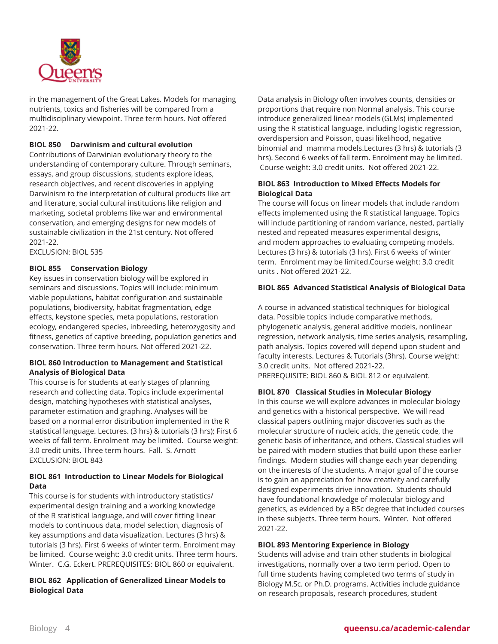

in the management of the Great Lakes. Models for managing nutrients, toxics and fisheries will be compared from a multidisciplinary viewpoint. Three term hours. Not offered 2021-22.

#### **BIOL 850 Darwinism and cultural evolution**

Contributions of Darwinian evolutionary theory to the understanding of contemporary culture. Through seminars, essays, and group discussions, students explore ideas, research objectives, and recent discoveries in applying Darwinism to the interpretation of cultural products like art and literature, social cultural institutions like religion and marketing, societal problems like war and environmental conservation, and emerging designs for new models of sustainable civilization in the 21st century. Not offered 2021-22.

EXCLUSION: BIOL 535

#### **BIOL 855 Conservation Biology**

Key issues in conservation biology will be explored in seminars and discussions. Topics will include: minimum viable populations, habitat configuration and sustainable populations, biodiversity, habitat fragmentation, edge effects, keystone species, meta populations, restoration ecology, endangered species, inbreeding, heterozygosity and fitness, genetics of captive breeding, population genetics and conservation. Three term hours. Not offered 2021-22.

#### **BIOL 860 Introduction to Management and Statistical Analysis of Biological Data**

This course is for students at early stages of planning research and collecting data. Topics include experimental design, matching hypotheses with statistical analyses, parameter estimation and graphing. Analyses will be based on a normal error distribution implemented in the R statistical language. Lectures. (3 hrs) & tutorials (3 hrs); First 6 weeks of fall term. Enrolment may be limited. Course weight: 3.0 credit units. Three term hours. Fall. S. Arnott EXCLUSION: BIOL 843

#### **BIOL 861 Introduction to Linear Models for Biological Data**

This course is for students with introductory statistics/ experimental design training and a working knowledge of the R statistical language, and will cover fitting linear models to continuous data, model selection, diagnosis of key assumptions and data visualization. Lectures (3 hrs) & tutorials (3 hrs). First 6 weeks of winter term. Enrolment may be limited. Course weight: 3.0 credit units. Three term hours. Winter. C.G. Eckert. PREREQUISITES: BIOL 860 or equivalent.

#### **BIOL 862 Application of Generalized Linear Models to Biological Data**

Data analysis in Biology often involves counts, densities or proportions that require non Normal analysis. This course introduce generalized linear models (GLMs) implemented using the R statistical language, including logistic regression, overdispersion and Poisson, quasi likelihood, negative binomial and mamma models.Lectures (3 hrs) & tutorials (3 hrs). Second 6 weeks of fall term. Enrolment may be limited. Course weight: 3.0 credit units. Not offered 2021-22.

#### **BIOL 863 Introduction to Mixed Effects Models for Biological Data**

The course will focus on linear models that include random effects implemented using the R statistical language. Topics will include partitioning of random variance, nested, partially nested and repeated measures experimental designs, and modem approaches to evaluating competing models. Lectures (3 hrs) & tutorials (3 hrs). First 6 weeks of winter term. Enrolment may be limited.Course weight: 3.0 credit units . Not offered 2021-22.

#### **BIOL 865 Advanced Statistical Analysis of Biological Data**

A course in advanced statistical techniques for biological data. Possible topics include comparative methods, phylogenetic analysis, general additive models, nonlinear regression, network analysis, time series analysis, resampling, path analysis. Topics covered will depend upon student and faculty interests. Lectures & Tutorials (3hrs). Course weight: 3.0 credit units. Not offered 2021-22. PREREQUISITE: BIOL 860 & BIOL 812 or equivalent.

**BIOL 870 Classical Studies in Molecular Biology**

In this course we will explore advances in molecular biology and genetics with a historical perspective. We will read classical papers outlining major discoveries such as the molecular structure of nucleic acids, the genetic code, the genetic basis of inheritance, and others. Classical studies will be paired with modern studies that build upon these earlier findings. Modern studies will change each year depending on the interests of the students. A major goal of the course is to gain an appreciation for how creativity and carefully designed experiments drive innovation. Students should have foundational knowledge of molecular biology and genetics, as evidenced by a BSc degree that included courses in these subjects. Three term hours. Winter. Not offered 2021-22.

#### **BIOL 893 Mentoring Experience in Biology**

Students will advise and train other students in biological investigations, normally over a two term period. Open to full time students having completed two terms of study in Biology M.Sc. or Ph.D. programs. Activities include guidance on research proposals, research procedures, student